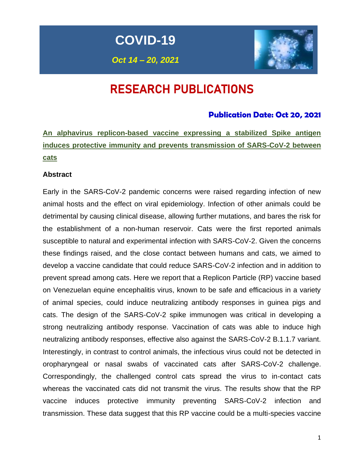**COVID-19**

*Oct 14 – 20, 2021*



# RESEARCH PUBLICATIONS

### **Publication Date: Oct 20, 2021**

**An alphavirus replicon-based vaccine expressing a stabilized Spike antigen induces protective immunity and prevents transmission of SARS-CoV-2 between cats** 

### **Abstract**

Early in the SARS-CoV-2 pandemic concerns were raised regarding infection of new animal hosts and the effect on viral epidemiology. Infection of other animals could be detrimental by causing clinical disease, allowing further mutations, and bares the risk for the establishment of a non-human reservoir. Cats were the first reported animals susceptible to natural and experimental infection with SARS-CoV-2. Given the concerns these findings raised, and the close contact between humans and cats, we aimed to develop a vaccine candidate that could reduce SARS-CoV-2 infection and in addition to prevent spread among cats. Here we report that a Replicon Particle (RP) vaccine based on Venezuelan equine encephalitis virus, known to be safe and efficacious in a variety of animal species, could induce neutralizing antibody responses in guinea pigs and cats. The design of the SARS-CoV-2 spike immunogen was critical in developing a strong neutralizing antibody response. Vaccination of cats was able to induce high neutralizing antibody responses, effective also against the SARS-CoV-2 B.1.1.7 variant. Interestingly, in contrast to control animals, the infectious virus could not be detected in oropharyngeal or nasal swabs of vaccinated cats after SARS-CoV-2 challenge. Correspondingly, the challenged control cats spread the virus to in-contact cats whereas the vaccinated cats did not transmit the virus. The results show that the RP vaccine induces protective immunity preventing SARS-CoV-2 infection and transmission. These data suggest that this RP vaccine could be a multi-species vaccine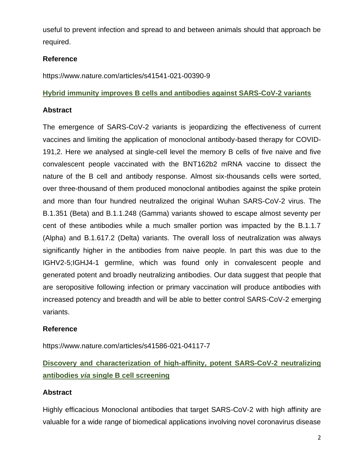useful to prevent infection and spread to and between animals should that approach be required.

### **Reference**

https://www.nature.com/articles/s41541-021-00390-9

### **Hybrid immunity improves B cells and antibodies against SARS-CoV-2 variants**

### **Abstract**

The emergence of SARS-CoV-2 variants is jeopardizing the effectiveness of current vaccines and limiting the application of monoclonal antibody-based therapy for COVID-191,2. Here we analysed at single-cell level the memory B cells of five naive and five convalescent people vaccinated with the BNT162b2 mRNA vaccine to dissect the nature of the B cell and antibody response. Almost six-thousands cells were sorted, over three-thousand of them produced monoclonal antibodies against the spike protein and more than four hundred neutralized the original Wuhan SARS-CoV-2 virus. The B.1.351 (Beta) and B.1.1.248 (Gamma) variants showed to escape almost seventy per cent of these antibodies while a much smaller portion was impacted by the B.1.1.7 (Alpha) and B.1.617.2 (Delta) variants. The overall loss of neutralization was always significantly higher in the antibodies from naive people. In part this was due to the IGHV2-5;IGHJ4-1 germline, which was found only in convalescent people and generated potent and broadly neutralizing antibodies. Our data suggest that people that are seropositive following infection or primary vaccination will produce antibodies with increased potency and breadth and will be able to better control SARS-CoV-2 emerging variants.

### **Reference**

https://www.nature.com/articles/s41586-021-04117-7

## **Discovery and characterization of high-affinity, potent SARS-CoV-2 neutralizing antibodies** *via* **single B cell screening**

### **Abstract**

Highly efficacious Monoclonal antibodies that target SARS-CoV-2 with high affinity are valuable for a wide range of biomedical applications involving novel coronavirus disease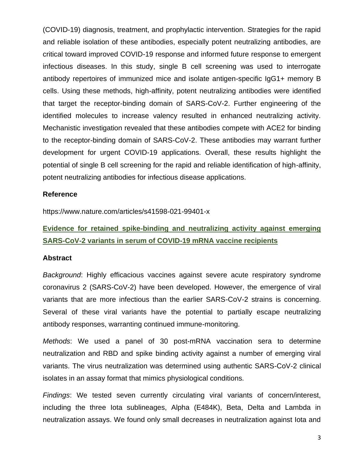(COVID-19) diagnosis, treatment, and prophylactic intervention. Strategies for the rapid and reliable isolation of these antibodies, especially potent neutralizing antibodies, are critical toward improved COVID-19 response and informed future response to emergent infectious diseases. In this study, single B cell screening was used to interrogate antibody repertoires of immunized mice and isolate antigen-specific IgG1+ memory B cells. Using these methods, high-affinity, potent neutralizing antibodies were identified that target the receptor-binding domain of SARS-CoV-2. Further engineering of the identified molecules to increase valency resulted in enhanced neutralizing activity. Mechanistic investigation revealed that these antibodies compete with ACE2 for binding to the receptor-binding domain of SARS-CoV-2. These antibodies may warrant further development for urgent COVID-19 applications. Overall, these results highlight the potential of single B cell screening for the rapid and reliable identification of high-affinity, potent neutralizing antibodies for infectious disease applications.

#### **Reference**

https://www.nature.com/articles/s41598-021-99401-x

## **Evidence for retained spike-binding and neutralizing activity against emerging SARS-CoV-2 variants in serum of COVID-19 mRNA vaccine recipients**

#### **Abstract**

*Background*: Highly efficacious vaccines against severe acute respiratory syndrome coronavirus 2 (SARS-CoV-2) have been developed. However, the emergence of viral variants that are more infectious than the earlier SARS-CoV-2 strains is concerning. Several of these viral variants have the potential to partially escape neutralizing antibody responses, warranting continued immune-monitoring.

*Methods*: We used a panel of 30 post-mRNA vaccination sera to determine neutralization and RBD and spike binding activity against a number of emerging viral variants. The virus neutralization was determined using authentic SARS-CoV-2 clinical isolates in an assay format that mimics physiological conditions.

*Findings*: We tested seven currently circulating viral variants of concern/interest, including the three Iota sublineages, Alpha (E484K), Beta, Delta and Lambda in neutralization assays. We found only small decreases in neutralization against Iota and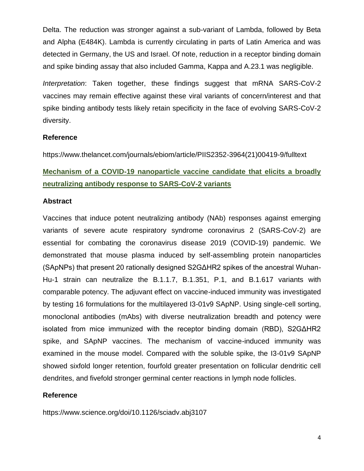Delta. The reduction was stronger against a sub-variant of Lambda, followed by Beta and Alpha (E484K). Lambda is currently circulating in parts of Latin America and was detected in Germany, the US and Israel. Of note, reduction in a receptor binding domain and spike binding assay that also included Gamma, Kappa and A.23.1 was negligible.

*Interpretation*: Taken together, these findings suggest that mRNA SARS-CoV-2 vaccines may remain effective against these viral variants of concern/interest and that spike binding antibody tests likely retain specificity in the face of evolving SARS-CoV-2 diversity.

### **Reference**

https://www.thelancet.com/journals/ebiom/article/PIIS2352-3964(21)00419-9/fulltext

## **Mechanism of a COVID-19 nanoparticle vaccine candidate that elicits a broadly neutralizing antibody response to SARS-CoV-2 variants**

### **Abstract**

Vaccines that induce potent neutralizing antibody (NAb) responses against emerging variants of severe acute respiratory syndrome coronavirus 2 (SARS-CoV-2) are essential for combating the coronavirus disease 2019 (COVID-19) pandemic. We demonstrated that mouse plasma induced by self-assembling protein nanoparticles (SApNPs) that present 20 rationally designed S2GΔHR2 spikes of the ancestral Wuhan-Hu-1 strain can neutralize the B.1.1.7, B.1.351, P.1, and B.1.617 variants with comparable potency. The adjuvant effect on vaccine-induced immunity was investigated by testing 16 formulations for the multilayered I3-01v9 SApNP. Using single-cell sorting, monoclonal antibodies (mAbs) with diverse neutralization breadth and potency were isolated from mice immunized with the receptor binding domain (RBD), S2GΔHR2 spike, and SApNP vaccines. The mechanism of vaccine-induced immunity was examined in the mouse model. Compared with the soluble spike, the I3-01v9 SApNP showed sixfold longer retention, fourfold greater presentation on follicular dendritic cell dendrites, and fivefold stronger germinal center reactions in lymph node follicles.

### **Reference**

https://www.science.org/doi/10.1126/sciadv.abj3107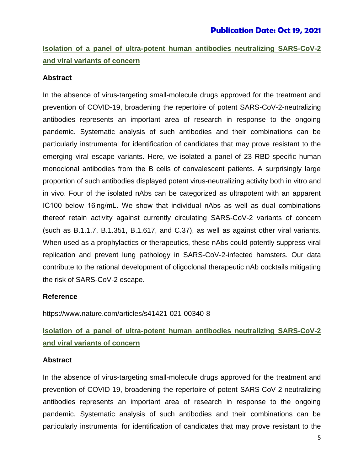## **Isolation of a panel of ultra-potent human antibodies neutralizing SARS-CoV-2 and viral variants of concern**

#### **Abstract**

In the absence of virus-targeting small-molecule drugs approved for the treatment and prevention of COVID-19, broadening the repertoire of potent SARS-CoV-2-neutralizing antibodies represents an important area of research in response to the ongoing pandemic. Systematic analysis of such antibodies and their combinations can be particularly instrumental for identification of candidates that may prove resistant to the emerging viral escape variants. Here, we isolated a panel of 23 RBD-specific human monoclonal antibodies from the B cells of convalescent patients. A surprisingly large proportion of such antibodies displayed potent virus-neutralizing activity both in vitro and in vivo. Four of the isolated nAbs can be categorized as ultrapotent with an apparent IC100 below 16 ng/mL. We show that individual nAbs as well as dual combinations thereof retain activity against currently circulating SARS-CoV-2 variants of concern (such as B.1.1.7, B.1.351, B.1.617, and C.37), as well as against other viral variants. When used as a prophylactics or therapeutics, these nAbs could potently suppress viral replication and prevent lung pathology in SARS-CoV-2-infected hamsters. Our data contribute to the rational development of oligoclonal therapeutic nAb cocktails mitigating the risk of SARS-CoV-2 escape.

#### **Reference**

https://www.nature.com/articles/s41421-021-00340-8

## **Isolation of a panel of ultra-potent human antibodies neutralizing SARS-CoV-2 and viral variants of concern**

#### **Abstract**

In the absence of virus-targeting small-molecule drugs approved for the treatment and prevention of COVID-19, broadening the repertoire of potent SARS-CoV-2-neutralizing antibodies represents an important area of research in response to the ongoing pandemic. Systematic analysis of such antibodies and their combinations can be particularly instrumental for identification of candidates that may prove resistant to the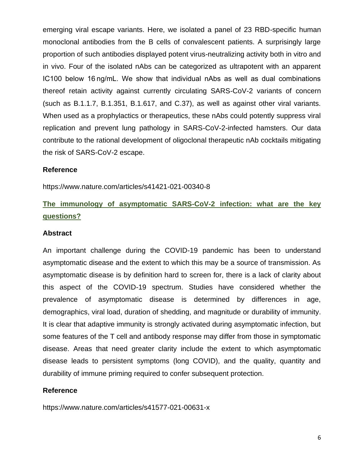emerging viral escape variants. Here, we isolated a panel of 23 RBD-specific human monoclonal antibodies from the B cells of convalescent patients. A surprisingly large proportion of such antibodies displayed potent virus-neutralizing activity both in vitro and in vivo. Four of the isolated nAbs can be categorized as ultrapotent with an apparent IC100 below 16 ng/mL. We show that individual nAbs as well as dual combinations thereof retain activity against currently circulating SARS-CoV-2 variants of concern (such as B.1.1.7, B.1.351, B.1.617, and C.37), as well as against other viral variants. When used as a prophylactics or therapeutics, these nAbs could potently suppress viral replication and prevent lung pathology in SARS-CoV-2-infected hamsters. Our data contribute to the rational development of oligoclonal therapeutic nAb cocktails mitigating the risk of SARS-CoV-2 escape.

#### **Reference**

https://www.nature.com/articles/s41421-021-00340-8

## **The immunology of asymptomatic SARS-CoV-2 infection: what are the key questions?**

#### **Abstract**

An important challenge during the COVID-19 pandemic has been to understand asymptomatic disease and the extent to which this may be a source of transmission. As asymptomatic disease is by definition hard to screen for, there is a lack of clarity about this aspect of the COVID-19 spectrum. Studies have considered whether the prevalence of asymptomatic disease is determined by differences in age, demographics, viral load, duration of shedding, and magnitude or durability of immunity. It is clear that adaptive immunity is strongly activated during asymptomatic infection, but some features of the T cell and antibody response may differ from those in symptomatic disease. Areas that need greater clarity include the extent to which asymptomatic disease leads to persistent symptoms (long COVID), and the quality, quantity and durability of immune priming required to confer subsequent protection.

#### **Reference**

https://www.nature.com/articles/s41577-021-00631-x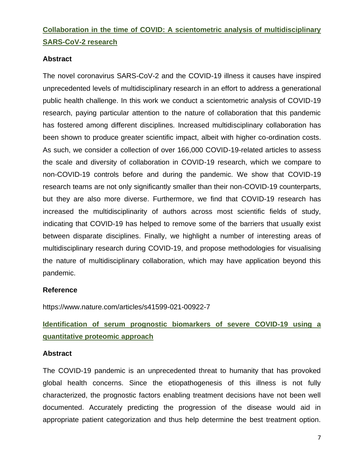## **Collaboration in the time of COVID: A scientometric analysis of multidisciplinary SARS-CoV-2 research**

### **Abstract**

The novel coronavirus SARS-CoV-2 and the COVID-19 illness it causes have inspired unprecedented levels of multidisciplinary research in an effort to address a generational public health challenge. In this work we conduct a scientometric analysis of COVID-19 research, paying particular attention to the nature of collaboration that this pandemic has fostered among different disciplines. Increased multidisciplinary collaboration has been shown to produce greater scientific impact, albeit with higher co-ordination costs. As such, we consider a collection of over 166,000 COVID-19-related articles to assess the scale and diversity of collaboration in COVID-19 research, which we compare to non-COVID-19 controls before and during the pandemic. We show that COVID-19 research teams are not only significantly smaller than their non-COVID-19 counterparts, but they are also more diverse. Furthermore, we find that COVID-19 research has increased the multidisciplinarity of authors across most scientific fields of study, indicating that COVID-19 has helped to remove some of the barriers that usually exist between disparate disciplines. Finally, we highlight a number of interesting areas of multidisciplinary research during COVID-19, and propose methodologies for visualising the nature of multidisciplinary collaboration, which may have application beyond this pandemic.

### **Reference**

https://www.nature.com/articles/s41599-021-00922-7

**Identification of serum prognostic biomarkers of severe COVID-19 using a quantitative proteomic approach**

### **Abstract**

The COVID-19 pandemic is an unprecedented threat to humanity that has provoked global health concerns. Since the etiopathogenesis of this illness is not fully characterized, the prognostic factors enabling treatment decisions have not been well documented. Accurately predicting the progression of the disease would aid in appropriate patient categorization and thus help determine the best treatment option.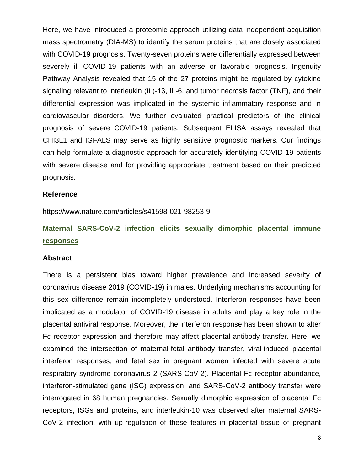Here, we have introduced a proteomic approach utilizing data-independent acquisition mass spectrometry (DIA-MS) to identify the serum proteins that are closely associated with COVID-19 prognosis. Twenty-seven proteins were differentially expressed between severely ill COVID-19 patients with an adverse or favorable prognosis. Ingenuity Pathway Analysis revealed that 15 of the 27 proteins might be regulated by cytokine signaling relevant to interleukin (IL)-1β, IL-6, and tumor necrosis factor (TNF), and their differential expression was implicated in the systemic inflammatory response and in cardiovascular disorders. We further evaluated practical predictors of the clinical prognosis of severe COVID-19 patients. Subsequent ELISA assays revealed that CHI3L1 and IGFALS may serve as highly sensitive prognostic markers. Our findings can help formulate a diagnostic approach for accurately identifying COVID-19 patients with severe disease and for providing appropriate treatment based on their predicted prognosis.

#### **Reference**

https://www.nature.com/articles/s41598-021-98253-9

## **Maternal SARS-CoV-2 infection elicits sexually dimorphic placental immune responses**

#### **Abstract**

There is a persistent bias toward higher prevalence and increased severity of coronavirus disease 2019 (COVID-19) in males. Underlying mechanisms accounting for this sex difference remain incompletely understood. Interferon responses have been implicated as a modulator of COVID-19 disease in adults and play a key role in the placental antiviral response. Moreover, the interferon response has been shown to alter Fc receptor expression and therefore may affect placental antibody transfer. Here, we examined the intersection of maternal-fetal antibody transfer, viral-induced placental interferon responses, and fetal sex in pregnant women infected with severe acute respiratory syndrome coronavirus 2 (SARS-CoV-2). Placental Fc receptor abundance, interferon-stimulated gene (ISG) expression, and SARS-CoV-2 antibody transfer were interrogated in 68 human pregnancies. Sexually dimorphic expression of placental Fc receptors, ISGs and proteins, and interleukin-10 was observed after maternal SARS-CoV-2 infection, with up-regulation of these features in placental tissue of pregnant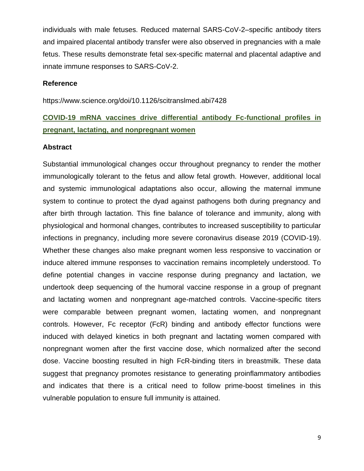individuals with male fetuses. Reduced maternal SARS-CoV-2–specific antibody titers and impaired placental antibody transfer were also observed in pregnancies with a male fetus. These results demonstrate fetal sex-specific maternal and placental adaptive and innate immune responses to SARS-CoV-2.

#### **Reference**

https://www.science.org/doi/10.1126/scitranslmed.abi7428

## **COVID-19 mRNA vaccines drive differential antibody Fc-functional profiles in pregnant, lactating, and nonpregnant women**

#### **Abstract**

Substantial immunological changes occur throughout pregnancy to render the mother immunologically tolerant to the fetus and allow fetal growth. However, additional local and systemic immunological adaptations also occur, allowing the maternal immune system to continue to protect the dyad against pathogens both during pregnancy and after birth through lactation. This fine balance of tolerance and immunity, along with physiological and hormonal changes, contributes to increased susceptibility to particular infections in pregnancy, including more severe coronavirus disease 2019 (COVID-19). Whether these changes also make pregnant women less responsive to vaccination or induce altered immune responses to vaccination remains incompletely understood. To define potential changes in vaccine response during pregnancy and lactation, we undertook deep sequencing of the humoral vaccine response in a group of pregnant and lactating women and nonpregnant age-matched controls. Vaccine-specific titers were comparable between pregnant women, lactating women, and nonpregnant controls. However, Fc receptor (FcR) binding and antibody effector functions were induced with delayed kinetics in both pregnant and lactating women compared with nonpregnant women after the first vaccine dose, which normalized after the second dose. Vaccine boosting resulted in high FcR-binding titers in breastmilk. These data suggest that pregnancy promotes resistance to generating proinflammatory antibodies and indicates that there is a critical need to follow prime-boost timelines in this vulnerable population to ensure full immunity is attained.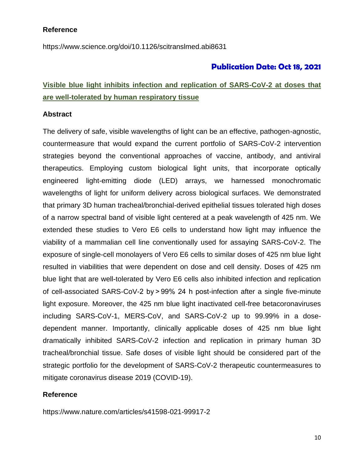### **Reference**

https://www.science.org/doi/10.1126/scitranslmed.abi8631

### **Publication Date: Oct 18, 2021**

## **Visible blue light inhibits infection and replication of SARS-CoV-2 at doses that are well-tolerated by human respiratory tissue**

#### **Abstract**

The delivery of safe, visible wavelengths of light can be an effective, pathogen-agnostic, countermeasure that would expand the current portfolio of SARS-CoV-2 intervention strategies beyond the conventional approaches of vaccine, antibody, and antiviral therapeutics. Employing custom biological light units, that incorporate optically engineered light-emitting diode (LED) arrays, we harnessed monochromatic wavelengths of light for uniform delivery across biological surfaces. We demonstrated that primary 3D human tracheal/bronchial-derived epithelial tissues tolerated high doses of a narrow spectral band of visible light centered at a peak wavelength of 425 nm. We extended these studies to Vero E6 cells to understand how light may influence the viability of a mammalian cell line conventionally used for assaying SARS-CoV-2. The exposure of single-cell monolayers of Vero E6 cells to similar doses of 425 nm blue light resulted in viabilities that were dependent on dose and cell density. Doses of 425 nm blue light that are well-tolerated by Vero E6 cells also inhibited infection and replication of cell-associated SARS-CoV-2 by > 99% 24 h post-infection after a single five-minute light exposure. Moreover, the 425 nm blue light inactivated cell-free betacoronaviruses including SARS-CoV-1, MERS-CoV, and SARS-CoV-2 up to 99.99% in a dosedependent manner. Importantly, clinically applicable doses of 425 nm blue light dramatically inhibited SARS-CoV-2 infection and replication in primary human 3D tracheal/bronchial tissue. Safe doses of visible light should be considered part of the strategic portfolio for the development of SARS-CoV-2 therapeutic countermeasures to mitigate coronavirus disease 2019 (COVID-19).

#### **Reference**

https://www.nature.com/articles/s41598-021-99917-2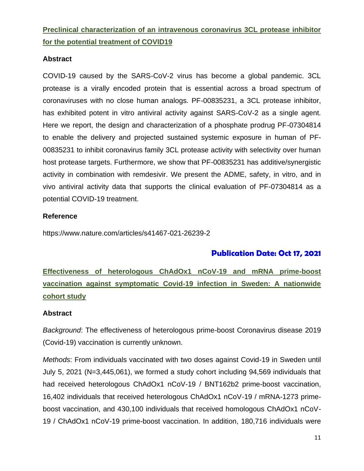## **Preclinical characterization of an intravenous coronavirus 3CL protease inhibitor for the potential treatment of COVID19**

### **Abstract**

COVID-19 caused by the SARS-CoV-2 virus has become a global pandemic. 3CL protease is a virally encoded protein that is essential across a broad spectrum of coronaviruses with no close human analogs. PF-00835231, a 3CL protease inhibitor, has exhibited potent in vitro antiviral activity against SARS-CoV-2 as a single agent. Here we report, the design and characterization of a phosphate prodrug PF-07304814 to enable the delivery and projected sustained systemic exposure in human of PF-00835231 to inhibit coronavirus family 3CL protease activity with selectivity over human host protease targets. Furthermore, we show that PF-00835231 has additive/synergistic activity in combination with remdesivir. We present the ADME, safety, in vitro, and in vivo antiviral activity data that supports the clinical evaluation of PF-07304814 as a potential COVID-19 treatment.

### **Reference**

https://www.nature.com/articles/s41467-021-26239-2

### **Publication Date: Oct 17, 2021**

**Effectiveness of heterologous ChAdOx1 nCoV-19 and mRNA prime-boost vaccination against symptomatic Covid-19 infection in Sweden: A nationwide cohort study**

### **Abstract**

*Background*: The effectiveness of heterologous prime-boost Coronavirus disease 2019 (Covid-19) vaccination is currently unknown.

*Methods*: From individuals vaccinated with two doses against Covid-19 in Sweden until July 5, 2021 (N=3,445,061), we formed a study cohort including 94,569 individuals that had received heterologous ChAdOx1 nCoV-19 / BNT162b2 prime-boost vaccination, 16,402 individuals that received heterologous ChAdOx1 nCoV-19 / mRNA-1273 primeboost vaccination, and 430,100 individuals that received homologous ChAdOx1 nCoV-19 / ChAdOx1 nCoV-19 prime-boost vaccination. In addition, 180,716 individuals were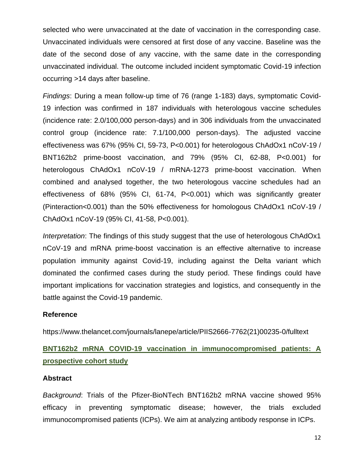selected who were unvaccinated at the date of vaccination in the corresponding case. Unvaccinated individuals were censored at first dose of any vaccine. Baseline was the date of the second dose of any vaccine, with the same date in the corresponding unvaccinated individual. The outcome included incident symptomatic Covid-19 infection occurring >14 days after baseline.

*Findings*: During a mean follow-up time of 76 (range 1-183) days, symptomatic Covid-19 infection was confirmed in 187 individuals with heterologous vaccine schedules (incidence rate: 2.0/100,000 person-days) and in 306 individuals from the unvaccinated control group (incidence rate: 7.1/100,000 person-days). The adjusted vaccine effectiveness was 67% (95% CI, 59-73, P<0.001) for heterologous ChAdOx1 nCoV-19 / BNT162b2 prime-boost vaccination, and 79% (95% CI, 62-88, P<0.001) for heterologous ChAdOx1 nCoV-19 / mRNA-1273 prime-boost vaccination. When combined and analysed together, the two heterologous vaccine schedules had an effectiveness of 68% (95% CI, 61-74, P<0.001) which was significantly greater (Pinteraction<0.001) than the 50% effectiveness for homologous ChAdOx1 nCoV-19 / ChAdOx1 nCoV-19 (95% CI, 41-58, P<0.001).

*Interpretation*: The findings of this study suggest that the use of heterologous ChAdOx1 nCoV-19 and mRNA prime-boost vaccination is an effective alternative to increase population immunity against Covid-19, including against the Delta variant which dominated the confirmed cases during the study period. These findings could have important implications for vaccination strategies and logistics, and consequently in the battle against the Covid-19 pandemic.

#### **Reference**

https://www.thelancet.com/journals/lanepe/article/PIIS2666-7762(21)00235-0/fulltext

## **BNT162b2 mRNA COVID-19 vaccination in immunocompromised patients: A prospective cohort study**

#### **Abstract**

*Background*: Trials of the Pfizer-BioNTech BNT162b2 mRNA vaccine showed 95% efficacy in preventing symptomatic disease; however, the trials excluded immunocompromised patients (ICPs). We aim at analyzing antibody response in ICPs.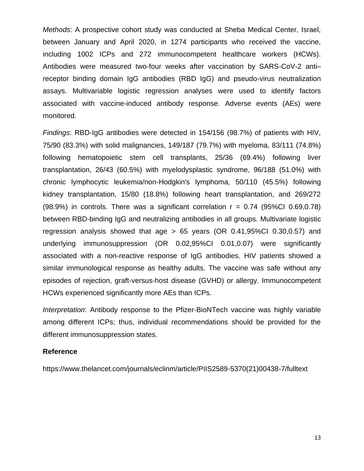*Methods*: A prospective cohort study was conducted at Sheba Medical Center, Israel, between January and April 2020, in 1274 participants who received the vaccine, including 1002 ICPs and 272 immunocompetent healthcare workers (HCWs). Antibodies were measured two-four weeks after vaccination by SARS-CoV-2 anti– receptor binding domain IgG antibodies (RBD IgG) and pseudo-virus neutralization assays. Multivariable logistic regression analyses were used to identify factors associated with vaccine-induced antibody response. Adverse events (AEs) were monitored.

*Findings*: RBD-IgG antibodies were detected in 154/156 (98.7%) of patients with HIV, 75/90 (83.3%) with solid malignancies, 149/187 (79.7%) with myeloma, 83/111 (74.8%) following hematopoietic stem cell transplants, 25/36 (69.4%) following liver transplantation, 26/43 (60.5%) with myelodysplastic syndrome, 96/188 (51.0%) with chronic lymphocytic leukemia/non-Hodgkin's lymphoma, 50/110 (45.5%) following kidney transplantation, 15/80 (18.8%) following heart transplantation, and 269/272  $(98.9%)$  in controls. There was a significant correlation  $r = 0.74$  (95%CI 0.69,0.78) between RBD-binding IgG and neutralizing antibodies in all groups. Multivariate logistic regression analysis showed that age > 65 years (OR 0.41,95%CI 0.30,0.57) and underlying immunosuppression (OR 0.02,95%CI 0.01,0.07) were significantly associated with a non-reactive response of IgG antibodies. HIV patients showed a similar immunological response as healthy adults. The vaccine was safe without any episodes of rejection, graft-versus-host disease (GVHD) or allergy. Immunocompetent HCWs experienced significantly more AEs than ICPs.

*Interpretation*: Antibody response to the Pfizer-BioNTech vaccine was highly variable among different ICPs; thus, individual recommendations should be provided for the different immunosuppression states.

#### **Reference**

https://www.thelancet.com/journals/eclinm/article/PIIS2589-5370(21)00438-7/fulltext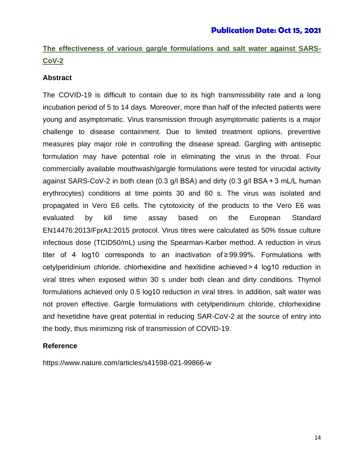## **The effectiveness of various gargle formulations and salt water against SARS-CoV-2**

### **Abstract**

The COVID-19 is difficult to contain due to its high transmissibility rate and a long incubation period of 5 to 14 days. Moreover, more than half of the infected patients were young and asymptomatic. Virus transmission through asymptomatic patients is a major challenge to disease containment. Due to limited treatment options, preventive measures play major role in controlling the disease spread. Gargling with antiseptic formulation may have potential role in eliminating the virus in the throat. Four commercially available mouthwash/gargle formulations were tested for virucidal activity against SARS-CoV-2 in both clean (0.3 g/l BSA) and dirty (0.3 g/l BSA + 3 mL/L human erythrocytes) conditions at time points 30 and 60 s. The virus was isolated and propagated in Vero E6 cells. The cytotoxicity of the products to the Vero E6 was evaluated by kill time assay based on the European Standard EN14476:2013/FprA1:2015 protocol. Virus titres were calculated as 50% tissue culture infectious dose (TCID50/mL) using the Spearman-Karber method. A reduction in virus titer of 4 log10 corresponds to an inactivation of ≥ 99.99%. Formulations with cetylperidinium chloride, chlorhexidine and hexitidine achieved > 4 log10 reduction in viral titres when exposed within 30 s under both clean and dirty conditions. Thymol formulations achieved only 0.5 log10 reduction in viral titres. In addition, salt water was not proven effective. Gargle formulations with cetylperidinium chloride, chlorhexidine and hexetidine have great potential in reducing SAR-CoV-2 at the source of entry into the body, thus minimizing risk of transmission of COVID-19.

#### **Reference**

https://www.nature.com/articles/s41598-021-99866-w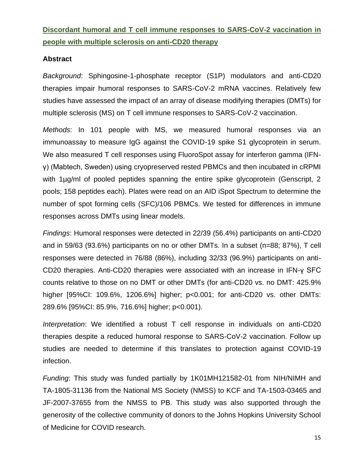## **Discordant humoral and T cell immune responses to SARS-CoV-2 vaccination in people with multiple sclerosis on anti-CD20 therapy**

### **Abstract**

*Background*: Sphingosine-1-phosphate receptor (S1P) modulators and anti-CD20 therapies impair humoral responses to SARS-CoV-2 mRNA vaccines. Relatively few studies have assessed the impact of an array of disease modifying therapies (DMTs) for multiple sclerosis (MS) on T cell immune responses to SARS-CoV-2 vaccination.

*Methods*: In 101 people with MS, we measured humoral responses via an immunoassay to measure IgG against the COVID-19 spike S1 glycoprotein in serum. We also measured T cell responses using FluoroSpot assay for interferon gamma (IFNγ) (Mabtech, Sweden) using cryopreserved rested PBMCs and then incubated in cRPMI with 1µg/ml of pooled peptides spanning the entire spike glycoprotein (Genscript, 2 pools; 158 peptides each). Plates were read on an AID iSpot Spectrum to determine the number of spot forming cells (SFC)/106 PBMCs. We tested for differences in immune responses across DMTs using linear models.

*Findings*: Humoral responses were detected in 22/39 (56.4%) participants on anti-CD20 and in 59/63 (93.6%) participants on no or other DMTs. In a subset (n=88; 87%), T cell responses were detected in 76/88 (86%), including 32/33 (96.9%) participants on anti-CD20 therapies. Anti-CD20 therapies were associated with an increase in IFN-γ SFC counts relative to those on no DMT or other DMTs (for anti-CD20 vs. no DMT: 425.9% higher [95%CI: 109.6%, 1206.6%] higher; p<0.001; for anti-CD20 vs. other DMTs: 289.6% [95%CI: 85.9%, 716.6%] higher; p<0.001).

*Interpretation*: We identified a robust T cell response in individuals on anti-CD20 therapies despite a reduced humoral response to SARS-CoV-2 vaccination. Follow up studies are needed to determine if this translates to protection against COVID-19 infection.

*Funding*: This study was funded partially by 1K01MH121582-01 from NIH/NIMH and TA-1805-31136 from the National MS Society (NMSS) to KCF and TA-1503-03465 and JF-2007-37655 from the NMSS to PB. This study was also supported through the generosity of the collective community of donors to the Johns Hopkins University School of Medicine for COVID research.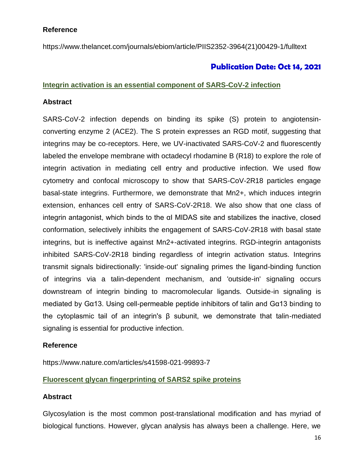### **Reference**

https://www.thelancet.com/journals/ebiom/article/PIIS2352-3964(21)00429-1/fulltext

### **Publication Date: Oct 14, 2021**

### **Integrin activation is an essential component of SARS-CoV-2 infection**

### **Abstract**

SARS-CoV-2 infection depends on binding its spike (S) protein to angiotensinconverting enzyme 2 (ACE2). The S protein expresses an RGD motif, suggesting that integrins may be co-receptors. Here, we UV-inactivated SARS-CoV-2 and fluorescently labeled the envelope membrane with octadecyl rhodamine B (R18) to explore the role of integrin activation in mediating cell entry and productive infection. We used flow cytometry and confocal microscopy to show that SARS-CoV-2R18 particles engage basal-state integrins. Furthermore, we demonstrate that Mn2+, which induces integrin extension, enhances cell entry of SARS-CoV-2R18. We also show that one class of integrin antagonist, which binds to the αI MIDAS site and stabilizes the inactive, closed conformation, selectively inhibits the engagement of SARS-CoV-2R18 with basal state integrins, but is ineffective against Mn2+-activated integrins. RGD-integrin antagonists inhibited SARS-CoV-2R18 binding regardless of integrin activation status. Integrins transmit signals bidirectionally: 'inside-out' signaling primes the ligand-binding function of integrins via a talin-dependent mechanism, and 'outside-in' signaling occurs downstream of integrin binding to macromolecular ligands. Outside-in signaling is mediated by Gα13. Using cell-permeable peptide inhibitors of talin and Gα13 binding to the cytoplasmic tail of an integrin's β subunit, we demonstrate that talin-mediated signaling is essential for productive infection.

### **Reference**

https://www.nature.com/articles/s41598-021-99893-7

### **Fluorescent glycan fingerprinting of SARS2 spike proteins**

### **Abstract**

Glycosylation is the most common post-translational modification and has myriad of biological functions. However, glycan analysis has always been a challenge. Here, we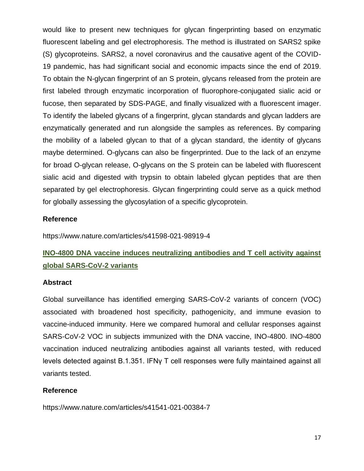would like to present new techniques for glycan fingerprinting based on enzymatic fluorescent labeling and gel electrophoresis. The method is illustrated on SARS2 spike (S) glycoproteins. SARS2, a novel coronavirus and the causative agent of the COVID-19 pandemic, has had significant social and economic impacts since the end of 2019. To obtain the N-glycan fingerprint of an S protein, glycans released from the protein are first labeled through enzymatic incorporation of fluorophore-conjugated sialic acid or fucose, then separated by SDS-PAGE, and finally visualized with a fluorescent imager. To identify the labeled glycans of a fingerprint, glycan standards and glycan ladders are enzymatically generated and run alongside the samples as references. By comparing the mobility of a labeled glycan to that of a glycan standard, the identity of glycans maybe determined. O-glycans can also be fingerprinted. Due to the lack of an enzyme for broad O-glycan release, O-glycans on the S protein can be labeled with fluorescent sialic acid and digested with trypsin to obtain labeled glycan peptides that are then separated by gel electrophoresis. Glycan fingerprinting could serve as a quick method for globally assessing the glycosylation of a specific glycoprotein.

### **Reference**

https://www.nature.com/articles/s41598-021-98919-4

## **INO-4800 DNA vaccine induces neutralizing antibodies and T cell activity against global SARS-CoV-2 variants**

#### **Abstract**

Global surveillance has identified emerging SARS-CoV-2 variants of concern (VOC) associated with broadened host specificity, pathogenicity, and immune evasion to vaccine-induced immunity. Here we compared humoral and cellular responses against SARS-CoV-2 VOC in subjects immunized with the DNA vaccine, INO-4800. INO-4800 vaccination induced neutralizing antibodies against all variants tested, with reduced levels detected against B.1.351. IFNγ T cell responses were fully maintained against all variants tested.

### **Reference**

https://www.nature.com/articles/s41541-021-00384-7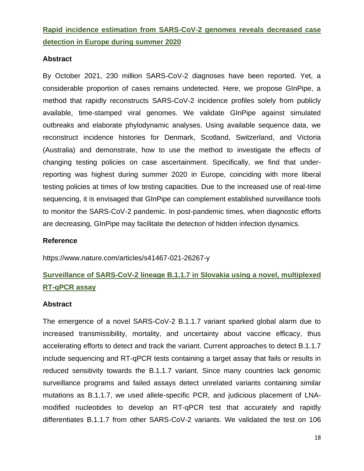## **Rapid incidence estimation from SARS-CoV-2 genomes reveals decreased case detection in Europe during summer 2020**

### **Abstract**

By October 2021, 230 million SARS-CoV-2 diagnoses have been reported. Yet, a considerable proportion of cases remains undetected. Here, we propose GInPipe, a method that rapidly reconstructs SARS-CoV-2 incidence profiles solely from publicly available, time-stamped viral genomes. We validate GInPipe against simulated outbreaks and elaborate phylodynamic analyses. Using available sequence data, we reconstruct incidence histories for Denmark, Scotland, Switzerland, and Victoria (Australia) and demonstrate, how to use the method to investigate the effects of changing testing policies on case ascertainment. Specifically, we find that underreporting was highest during summer 2020 in Europe, coinciding with more liberal testing policies at times of low testing capacities. Due to the increased use of real-time sequencing, it is envisaged that GInPipe can complement established surveillance tools to monitor the SARS-CoV-2 pandemic. In post-pandemic times, when diagnostic efforts are decreasing, GInPipe may facilitate the detection of hidden infection dynamics.

### **Reference**

https://www.nature.com/articles/s41467-021-26267-y

## **Surveillance of SARS-CoV-2 lineage B.1.1.7 in Slovakia using a novel, multiplexed RT-qPCR assay**

#### **Abstract**

The emergence of a novel SARS-CoV-2 B.1.1.7 variant sparked global alarm due to increased transmissibility, mortality, and uncertainty about vaccine efficacy, thus accelerating efforts to detect and track the variant. Current approaches to detect B.1.1.7 include sequencing and RT-qPCR tests containing a target assay that fails or results in reduced sensitivity towards the B.1.1.7 variant. Since many countries lack genomic surveillance programs and failed assays detect unrelated variants containing similar mutations as B.1.1.7, we used allele-specific PCR, and judicious placement of LNAmodified nucleotides to develop an RT-qPCR test that accurately and rapidly differentiates B.1.1.7 from other SARS-CoV-2 variants. We validated the test on 106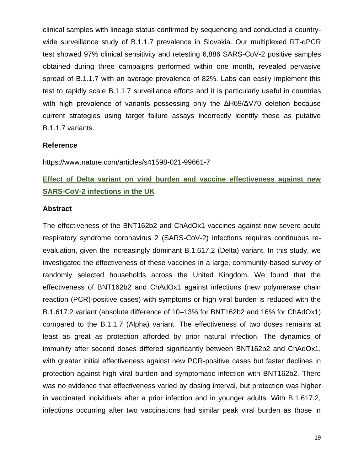clinical samples with lineage status confirmed by sequencing and conducted a countrywide surveillance study of B.1.1.7 prevalence in Slovakia. Our multiplexed RT-qPCR test showed 97% clinical sensitivity and retesting 6,886 SARS-CoV-2 positive samples obtained during three campaigns performed within one month, revealed pervasive spread of B.1.1.7 with an average prevalence of 82%. Labs can easily implement this test to rapidly scale B.1.1.7 surveillance efforts and it is particularly useful in countries with high prevalence of variants possessing only the ΔH69/ΔV70 deletion because current strategies using target failure assays incorrectly identify these as putative B.1.1.7 variants.

### **Reference**

https://www.nature.com/articles/s41598-021-99661-7

## **Effect of Delta variant on viral burden and vaccine effectiveness against new SARS-CoV-2 infections in the UK**

### **Abstract**

The effectiveness of the BNT162b2 and ChAdOx1 vaccines against new severe acute respiratory syndrome coronavirus 2 (SARS-CoV-2) infections requires continuous reevaluation, given the increasingly dominant B.1.617.2 (Delta) variant. In this study, we investigated the effectiveness of these vaccines in a large, community-based survey of randomly selected households across the United Kingdom. We found that the effectiveness of BNT162b2 and ChAdOx1 against infections (new polymerase chain reaction (PCR)-positive cases) with symptoms or high viral burden is reduced with the B.1.617.2 variant (absolute difference of 10–13% for BNT162b2 and 16% for ChAdOx1) compared to the B.1.1.7 (Alpha) variant. The effectiveness of two doses remains at least as great as protection afforded by prior natural infection. The dynamics of immunity after second doses differed significantly between BNT162b2 and ChAdOx1, with greater initial effectiveness against new PCR-positive cases but faster declines in protection against high viral burden and symptomatic infection with BNT162b2. There was no evidence that effectiveness varied by dosing interval, but protection was higher in vaccinated individuals after a prior infection and in younger adults. With B.1.617.2, infections occurring after two vaccinations had similar peak viral burden as those in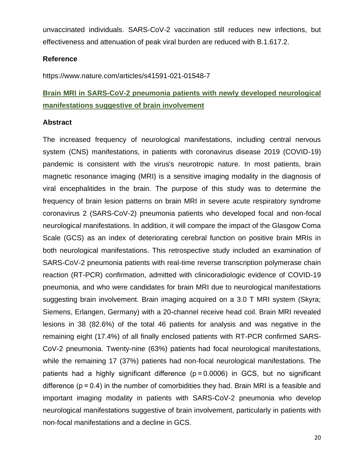unvaccinated individuals. SARS-CoV-2 vaccination still reduces new infections, but effectiveness and attenuation of peak viral burden are reduced with B.1.617.2.

### **Reference**

https://www.nature.com/articles/s41591-021-01548-7

## **Brain MRI in SARS-CoV-2 pneumonia patients with newly developed neurological manifestations suggestive of brain involvement**

### **Abstract**

The increased frequency of neurological manifestations, including central nervous system (CNS) manifestations, in patients with coronavirus disease 2019 (COVID-19) pandemic is consistent with the virus's neurotropic nature. In most patients, brain magnetic resonance imaging (MRI) is a sensitive imaging modality in the diagnosis of viral encephalitides in the brain. The purpose of this study was to determine the frequency of brain lesion patterns on brain MRI in severe acute respiratory syndrome coronavirus 2 (SARS-CoV-2) pneumonia patients who developed focal and non-focal neurological manifestations. In addition, it will compare the impact of the Glasgow Coma Scale (GCS) as an index of deteriorating cerebral function on positive brain MRIs in both neurological manifestations. This retrospective study included an examination of SARS-CoV-2 pneumonia patients with real-time reverse transcription polymerase chain reaction (RT-PCR) confirmation, admitted with clinicoradiologic evidence of COVID-19 pneumonia, and who were candidates for brain MRI due to neurological manifestations suggesting brain involvement. Brain imaging acquired on a 3.0 T MRI system (Skyra; Siemens, Erlangen, Germany) with a 20-channel receive head coil. Brain MRI revealed lesions in 38 (82.6%) of the total 46 patients for analysis and was negative in the remaining eight (17.4%) of all finally enclosed patients with RT-PCR confirmed SARS-CoV-2 pneumonia. Twenty-nine (63%) patients had focal neurological manifestations, while the remaining 17 (37%) patients had non-focal neurological manifestations. The patients had a highly significant difference (p = 0.0006) in GCS, but no significant difference  $(p = 0.4)$  in the number of comorbidities they had. Brain MRI is a feasible and important imaging modality in patients with SARS-CoV-2 pneumonia who develop neurological manifestations suggestive of brain involvement, particularly in patients with non-focal manifestations and a decline in GCS.